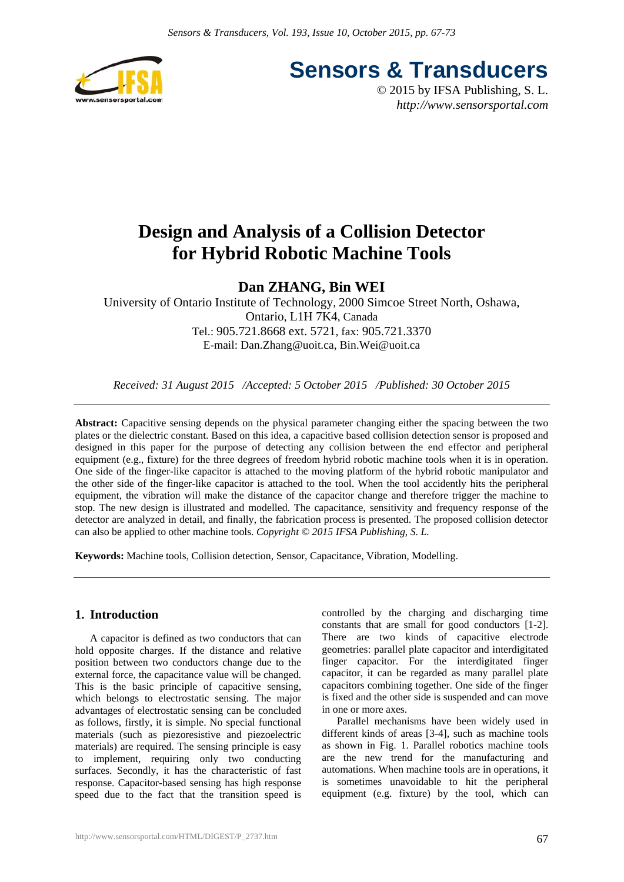

**Sensors & Transducers**

© 2015 by IFSA Publishing, S. L. *http://www.sensorsportal.com*

# **Design and Analysis of a Collision Detector for Hybrid Robotic Machine Tools**

# **Dan ZHANG, Bin WEI**

University of Ontario Institute of Technology, 2000 Simcoe Street North, Oshawa, Ontario, L1H 7K4, Canada Tel.: 905.721.8668 ext. 5721, fax: 905.721.3370 E-mail: Dan.Zhang@uoit.ca, Bin.Wei@uoit.ca

*Received: 31 August 2015 /Accepted: 5 October 2015 /Published: 30 October 2015*

**Abstract:** Capacitive sensing depends on the physical parameter changing either the spacing between the two plates or the dielectric constant. Based on this idea, a capacitive based collision detection sensor is proposed and designed in this paper for the purpose of detecting any collision between the end effector and peripheral equipment (e.g., fixture) for the three degrees of freedom hybrid robotic machine tools when it is in operation. One side of the finger-like capacitor is attached to the moving platform of the hybrid robotic manipulator and the other side of the finger-like capacitor is attached to the tool. When the tool accidently hits the peripheral equipment, the vibration will make the distance of the capacitor change and therefore trigger the machine to stop. The new design is illustrated and modelled. The capacitance, sensitivity and frequency response of the detector are analyzed in detail, and finally, the fabrication process is presented. The proposed collision detector can also be applied to other machine tools. *Copyright © 2015 IFSA Publishing, S. L.*

**Keywords:** Machine tools, Collision detection, Sensor, Capacitance, Vibration, Modelling.

# **1. Introduction**

A capacitor is defined as two conductors that can hold opposite charges. If the distance and relative position between two conductors change due to the external force, the capacitance value will be changed. This is the basic principle of capacitive sensing, which belongs to electrostatic sensing. The major advantages of electrostatic sensing can be concluded as follows, firstly, it is simple. No special functional materials (such as piezoresistive and piezoelectric materials) are required. The sensing principle is easy to implement, requiring only two conducting surfaces. Secondly, it has the characteristic of fast response. Capacitor-based sensing has high response speed due to the fact that the transition speed is

controlled by the charging and discharging time constants that are small for good conductors [1-2]. There are two kinds of capacitive electrode geometries: parallel plate capacitor and interdigitated finger capacitor. For the interdigitated finger capacitor, it can be regarded as many parallel plate capacitors combining together. One side of the finger is fixed and the other side is suspended and can move in one or more axes.

Parallel mechanisms have been widely used in different kinds of areas [3-4], such as machine tools as shown in Fig. 1. Parallel robotics machine tools are the new trend for the manufacturing and automations. When machine tools are in operations, it is sometimes unavoidable to hit the peripheral equipment (e.g. fixture) by the tool, which can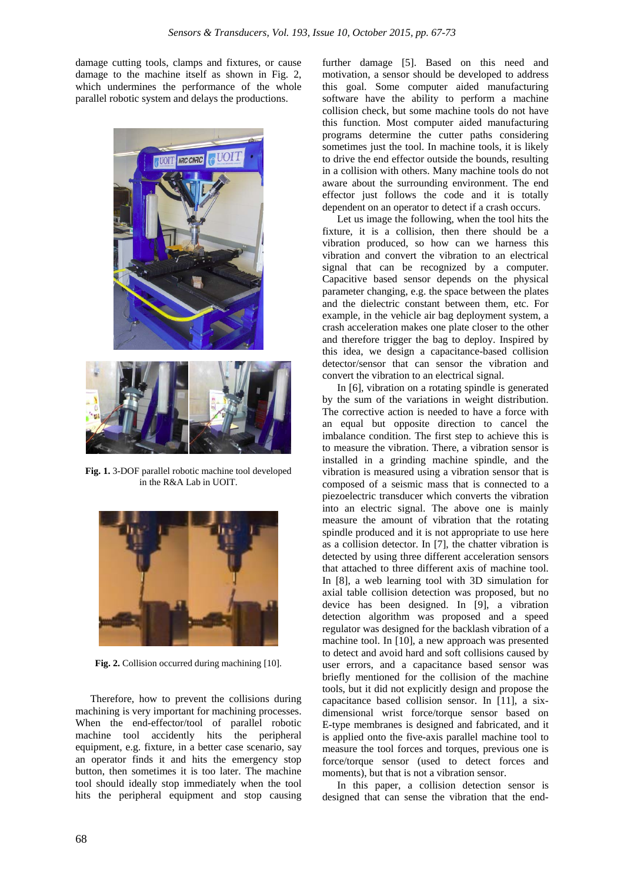damage cutting tools, clamps and fixtures, or cause damage to the machine itself as shown in Fig. 2, which undermines the performance of the whole parallel robotic system and delays the productions.



**Fig. 1.** 3-DOF parallel robotic machine tool developed in the R&A Lab in UOIT.



**Fig. 2.** Collision occurred during machining [10].

Therefore, how to prevent the collisions during machining is very important for machining processes. When the end-effector/tool of parallel robotic machine tool accidently hits the peripheral equipment, e.g. fixture, in a better case scenario, say an operator finds it and hits the emergency stop button, then sometimes it is too later. The machine tool should ideally stop immediately when the tool hits the peripheral equipment and stop causing

further damage [5]. Based on this need and motivation, a sensor should be developed to address this goal. Some computer aided manufacturing software have the ability to perform a machine collision check, but some machine tools do not have this function. Most computer aided manufacturing programs determine the cutter paths considering sometimes just the tool. In machine tools, it is likely to drive the end effector outside the bounds, resulting in a collision with others. Many machine tools do not aware about the surrounding environment. The end effector just follows the code and it is totally dependent on an operator to detect if a crash occurs.

Let us image the following, when the tool hits the fixture, it is a collision, then there should be a vibration produced, so how can we harness this vibration and convert the vibration to an electrical signal that can be recognized by a computer. Capacitive based sensor depends on the physical parameter changing, e.g. the space between the plates and the dielectric constant between them, etc. For example, in the vehicle air bag deployment system, a crash acceleration makes one plate closer to the other and therefore trigger the bag to deploy. Inspired by this idea, we design a capacitance-based collision detector/sensor that can sensor the vibration and convert the vibration to an electrical signal.

In [6], vibration on a rotating spindle is generated by the sum of the variations in weight distribution. The corrective action is needed to have a force with an equal but opposite direction to cancel the imbalance condition. The first step to achieve this is to measure the vibration. There, a vibration sensor is installed in a grinding machine spindle, and the vibration is measured using a vibration sensor that is composed of a seismic mass that is connected to a piezoelectric transducer which converts the vibration into an electric signal. The above one is mainly measure the amount of vibration that the rotating spindle produced and it is not appropriate to use here as a collision detector. In [7], the chatter vibration is detected by using three different acceleration sensors that attached to three different axis of machine tool. In [8], a web learning tool with 3D simulation for axial table collision detection was proposed, but no device has been designed. In [9], a vibration detection algorithm was proposed and a speed regulator was designed for the backlash vibration of a machine tool. In [10], a new approach was presented to detect and avoid hard and soft collisions caused by user errors, and a capacitance based sensor was briefly mentioned for the collision of the machine tools, but it did not explicitly design and propose the capacitance based collision sensor. In [11], a sixdimensional wrist force/torque sensor based on E-type membranes is designed and fabricated, and it is applied onto the five-axis parallel machine tool to measure the tool forces and torques, previous one is force/torque sensor (used to detect forces and moments), but that is not a vibration sensor.

In this paper, a collision detection sensor is designed that can sense the vibration that the end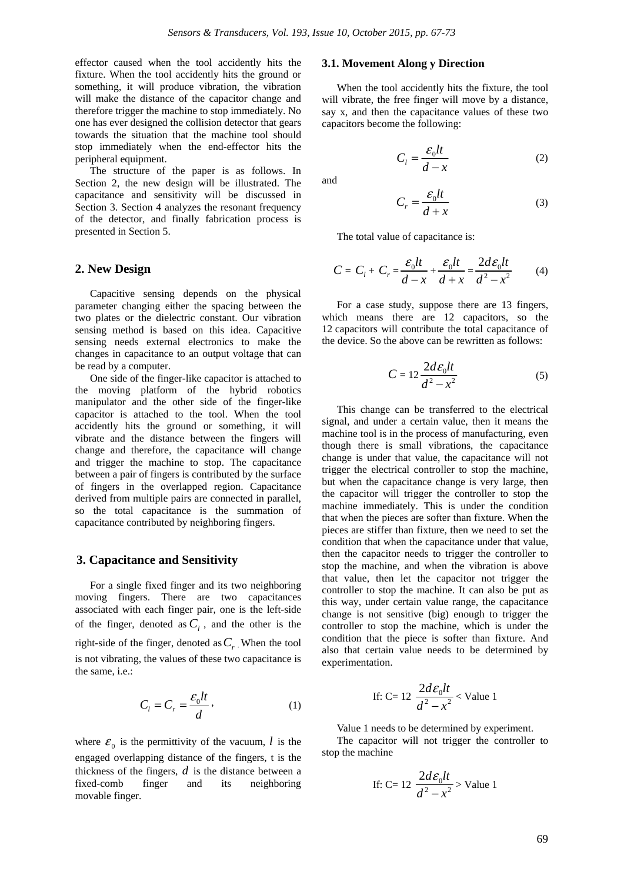effector caused when the tool accidently hits the fixture. When the tool accidently hits the ground or something, it will produce vibration, the vibration will make the distance of the capacitor change and therefore trigger the machine to stop immediately. No one has ever designed the collision detector that gears towards the situation that the machine tool should stop immediately when the end-effector hits the peripheral equipment.

The structure of the paper is as follows. In Section 2, the new design will be illustrated. The capacitance and sensitivity will be discussed in Section 3. Section 4 analyzes the resonant frequency of the detector, and finally fabrication process is presented in Section 5.

## **2. New Design**

Capacitive sensing depends on the physical parameter changing either the spacing between the two plates or the dielectric constant. Our vibration sensing method is based on this idea. Capacitive sensing needs external electronics to make the changes in capacitance to an output voltage that can be read by a computer.

One side of the finger-like capacitor is attached to the moving platform of the hybrid robotics manipulator and the other side of the finger-like capacitor is attached to the tool. When the tool accidently hits the ground or something, it will vibrate and the distance between the fingers will change and therefore, the capacitance will change and trigger the machine to stop. The capacitance between a pair of fingers is contributed by the surface of fingers in the overlapped region. Capacitance derived from multiple pairs are connected in parallel, so the total capacitance is the summation of capacitance contributed by neighboring fingers.

#### **3. Capacitance and Sensitivity**

For a single fixed finger and its two neighboring moving fingers. There are two capacitances associated with each finger pair, one is the left-side of the finger, denoted as  $C_i$ , and the other is the right-side of the finger, denoted as  $C_r$ . When the tool is not vibrating, the values of these two capacitance is the same, i.e.:

$$
C_t = C_r = \frac{\varepsilon_0 lt}{d},\tag{1}
$$

where  $\mathcal{E}_0$  is the permittivity of the vacuum, *l* is the engaged overlapping distance of the fingers, t is the thickness of the fingers, *d* is the distance between a fixed-comb finger and its neighboring movable finger.

#### **3.1. Movement Along y Direction**

When the tool accidently hits the fixture, the tool will vibrate, the free finger will move by a distance, say x, and then the capacitance values of these two capacitors become the following:

$$
C_l = \frac{\varepsilon_0 lt}{d - x} \tag{2}
$$

and

$$
C_r = \frac{\varepsilon_0 lt}{d+x} \tag{3}
$$

The total value of capacitance is:

$$
C = Cl + Cr = \frac{\varepsilon_0 lt}{d - x} + \frac{\varepsilon_0 lt}{d + x} = \frac{2d\varepsilon_0 lt}{d^2 - x^2}
$$
 (4)

For a case study, suppose there are 13 fingers, which means there are 12 capacitors, so the 12 capacitors will contribute the total capacitance of the device. So the above can be rewritten as follows:

$$
C = 12 \frac{2d\epsilon_0 lt}{d^2 - x^2} \tag{5}
$$

This change can be transferred to the electrical signal, and under a certain value, then it means the machine tool is in the process of manufacturing, even though there is small vibrations, the capacitance change is under that value, the capacitance will not trigger the electrical controller to stop the machine, but when the capacitance change is very large, then the capacitor will trigger the controller to stop the machine immediately. This is under the condition that when the pieces are softer than fixture. When the pieces are stiffer than fixture, then we need to set the condition that when the capacitance under that value, then the capacitor needs to trigger the controller to stop the machine, and when the vibration is above that value, then let the capacitor not trigger the controller to stop the machine. It can also be put as this way, under certain value range, the capacitance change is not sensitive (big) enough to trigger the controller to stop the machine, which is under the condition that the piece is softer than fixture. And also that certain value needs to be determined by experimentation.

If: C= 12 
$$
\frac{2d\mathcal{E}_0lt}{d^2 - x^2}
$$
 **Value 1**

Value 1 needs to be determined by experiment.

The capacitor will not trigger the controller to stop the machine

If: C= 12 
$$
\frac{2d\mathcal{E}_0lt}{d^2 - x^2}
$$
 Value 1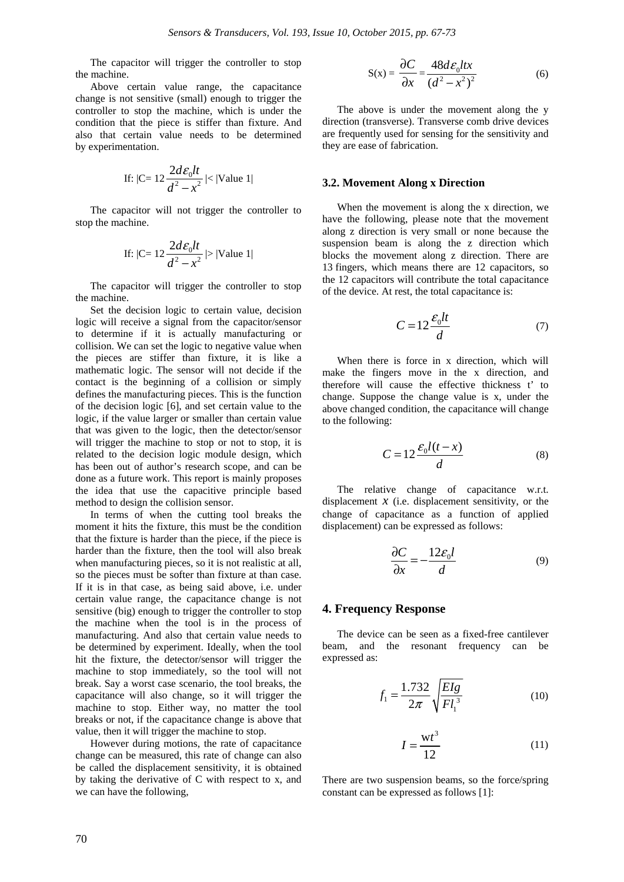The capacitor will trigger the controller to stop the machine.

Above certain value range, the capacitance change is not sensitive (small) enough to trigger the controller to stop the machine, which is under the condition that the piece is stiffer than fixture. And also that certain value needs to be determined by experimentation.

If: 
$$
|C = 12 \frac{2d\epsilon_0 lt}{d^2 - x^2}| < |Value 1|
$$

The capacitor will not trigger the controller to stop the machine.

If: 
$$
|C = 12 \frac{2d\mathcal{E}_0 dt}{d^2 - x^2}
$$
 > |Value 1|

The capacitor will trigger the controller to stop the machine.

Set the decision logic to certain value, decision logic will receive a signal from the capacitor/sensor to determine if it is actually manufacturing or collision. We can set the logic to negative value when the pieces are stiffer than fixture, it is like a mathematic logic. The sensor will not decide if the contact is the beginning of a collision or simply defines the manufacturing pieces. This is the function of the decision logic [6], and set certain value to the logic, if the value larger or smaller than certain value that was given to the logic, then the detector/sensor will trigger the machine to stop or not to stop, it is related to the decision logic module design, which has been out of author's research scope, and can be done as a future work. This report is mainly proposes the idea that use the capacitive principle based method to design the collision sensor.

In terms of when the cutting tool breaks the moment it hits the fixture, this must be the condition that the fixture is harder than the piece, if the piece is harder than the fixture, then the tool will also break when manufacturing pieces, so it is not realistic at all, so the pieces must be softer than fixture at than case. If it is in that case, as being said above, i.e. under certain value range, the capacitance change is not sensitive (big) enough to trigger the controller to stop the machine when the tool is in the process of manufacturing. And also that certain value needs to be determined by experiment. Ideally, when the tool hit the fixture, the detector/sensor will trigger the machine to stop immediately, so the tool will not break. Say a worst case scenario, the tool breaks, the capacitance will also change, so it will trigger the machine to stop. Either way, no matter the tool breaks or not, if the capacitance change is above that value, then it will trigger the machine to stop.

However during motions, the rate of capacitance change can be measured, this rate of change can also be called the displacement sensitivity, it is obtained by taking the derivative of C with respect to x, and we can have the following,

$$
S(x) = \frac{\partial C}{\partial x} = \frac{48d\epsilon_0 ltx}{(d^2 - x^2)^2}
$$
 (6)

The above is under the movement along the y direction (transverse). Transverse comb drive devices are frequently used for sensing for the sensitivity and they are ease of fabrication.

#### **3.2. Movement Along x Direction**

When the movement is along the x direction, we have the following, please note that the movement along z direction is very small or none because the suspension beam is along the z direction which blocks the movement along z direction. There are 13 fingers, which means there are 12 capacitors, so the 12 capacitors will contribute the total capacitance of the device. At rest, the total capacitance is:

$$
C = 12 \frac{\varepsilon_0 l t}{d} \tag{7}
$$

When there is force in x direction, which will make the fingers move in the x direction, and therefore will cause the effective thickness t' to change. Suppose the change value is x, under the above changed condition, the capacitance will change to the following:

$$
C = 12 \frac{\mathcal{E}_0 l(t - x)}{d} \tag{8}
$$

The relative change of capacitance w.r.t. displacement  $x$  (i.e. displacement sensitivity, or the change of capacitance as a function of applied displacement) can be expressed as follows:

$$
\frac{\partial C}{\partial x} = -\frac{12\varepsilon_0 l}{d} \tag{9}
$$

#### **4. Frequency Response**

The device can be seen as a fixed-free cantilever beam, and the resonant frequency can be expressed as:

$$
f_1 = \frac{1.732}{2\pi} \sqrt{\frac{EIg}{Fl_1^3}}
$$
 (10)

$$
I = \frac{\mathrm{wt}^3}{12} \tag{11}
$$

There are two suspension beams, so the force/spring constant can be expressed as follows [1]: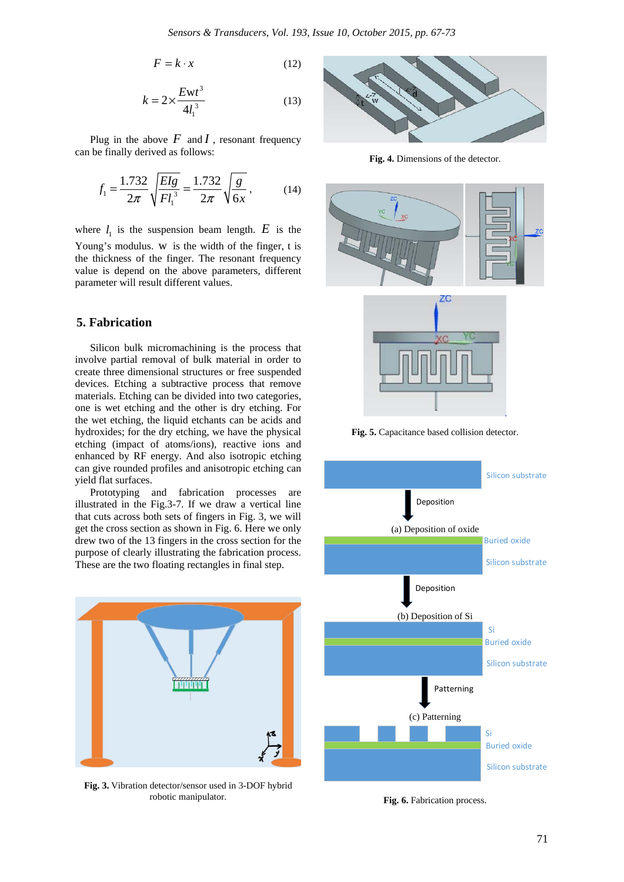$$
F = k \cdot x \tag{12}
$$

$$
k = 2 \times \frac{Ewt^3}{4l_1^3}
$$
 (13)

Plug in the above  $F$  and  $I$ , resonant frequency can be finally derived as follows:

$$
f_1 = \frac{1.732}{2\pi} \sqrt{\frac{EIg}{Fl_1^3}} = \frac{1.732}{2\pi} \sqrt{\frac{g}{6x}},
$$
 (14)

where  $l_1$  is the suspension beam length.  $E$  is the Young's modulus. w is the width of the finger, t is the thickness of the finger. The resonant frequency value is depend on the above parameters, different parameter will result different values.

## **5. Fabrication**

Silicon bulk micromachining is the process that involve partial removal of bulk material in order to create three dimensional structures or free suspended devices. Etching a subtractive process that remove materials. Etching can be divided into two categories, one is wet etching and the other is dry etching. For the wet etching, the liquid etchants can be acids and hydroxides; for the dry etching, we have the physical etching (impact of atoms/ions), reactive ions and enhanced by RF energy. And also isotropic etching can give rounded profiles and anisotropic etching can yield flat surfaces.

Prototyping and fabrication processes are illustrated in the Fig.3-7. If we draw a vertical line that cuts across both sets of fingers in Fig. 3, we will get the cross section as shown in Fig. 6. Here we only drew two of the 13 fingers in the cross section for the purpose of clearly illustrating the fabrication process. These are the two floating rectangles in final step.



**Fig. 3.** Vibration detector/sensor used in 3-DOF hybrid robotic manipulator.



**Fig. 4.** Dimensions of the detector.





**Fig. 5.** Capacitance based collision detector.



**Fig. 6.** Fabrication process.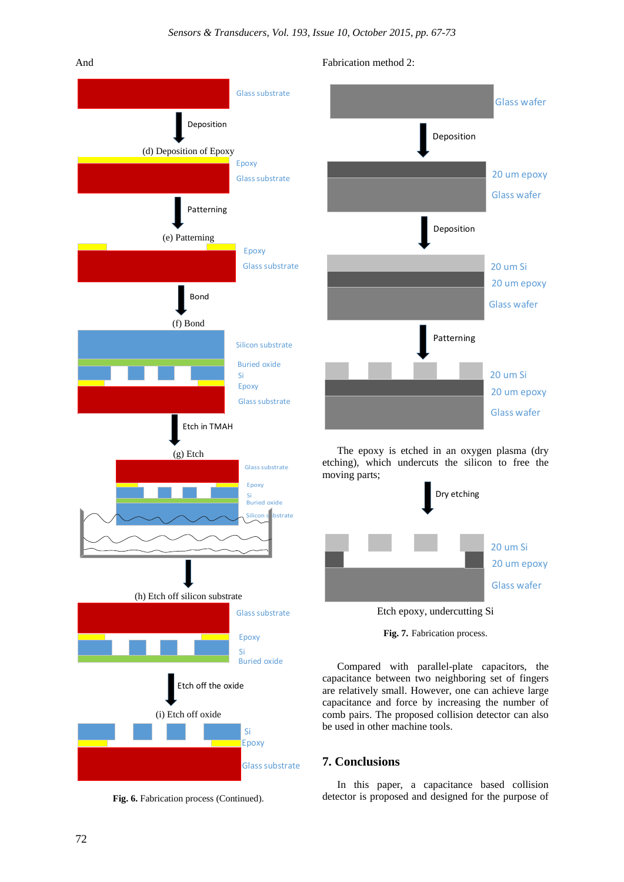



**Fig. 6.** Fabrication process (Continued).





The epoxy is etched in an oxygen plasma (dry etching), which undercuts the silicon to free the moving parts;



Etch epoxy, undercutting Si



Compared with parallel-plate capacitors, the capacitance between two neighboring set of fingers are relatively small. However, one can achieve large capacitance and force by increasing the number of comb pairs. The proposed collision detector can also be used in other machine tools.

# **7. Conclusions**

In this paper, a capacitance based collision detector is proposed and designed for the purpose of